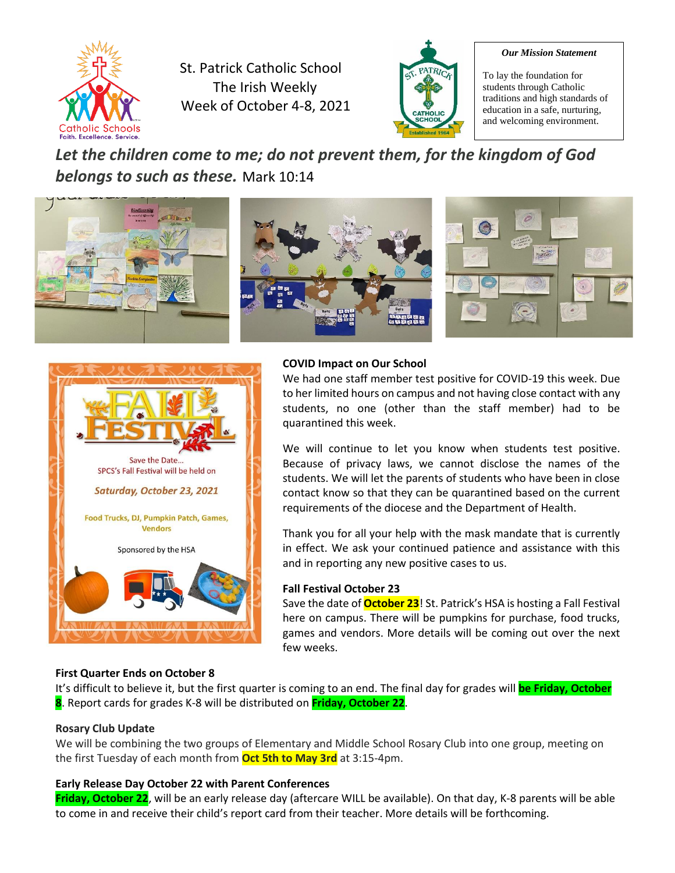

St. Patrick Catholic School The Irish Weekly Week of October 4-8, 2021



#### *Our Mission Statement*

To lay the foundation for students through Catholic traditions and high standards of education in a safe, nurturing, and welcoming environment.

*Let the children come to me; do not prevent them, for the kingdom of God belongs to such as these.* Mark 10:14





#### **COVID Impact on Our School**

We had one staff member test positive for COVID-19 this week. Due to her limited hours on campus and not having close contact with any students, no one (other than the staff member) had to be quarantined this week.

We will continue to let you know when students test positive. Because of privacy laws, we cannot disclose the names of the students. We will let the parents of students who have been in close contact know so that they can be quarantined based on the current requirements of the diocese and the Department of Health.

Thank you for all your help with the mask mandate that is currently in effect. We ask your continued patience and assistance with this and in reporting any new positive cases to us.

#### **Fall Festival October 23**

Save the date of **October 23**! St. Patrick's HSA is hosting a Fall Festival here on campus. There will be pumpkins for purchase, food trucks, games and vendors. More details will be coming out over the next few weeks.

#### **First Quarter Ends on October 8**

It's difficult to believe it, but the first quarter is coming to an end. The final day for grades will **be Friday, October 8**. Report cards for grades K-8 will be distributed on **Friday, October 22**.

#### **Rosary Club Update**

We will be combining the two groups of Elementary and Middle School Rosary Club into one group, meeting on the first Tuesday of each month from **Oct 5th to May 3rd** at 3:15-4pm.

#### **Early Release Day October 22 with Parent Conferences**

**Friday, October 22**, will be an early release day (aftercare WILL be available). On that day, K-8 parents will be able to come in and receive their child's report card from their teacher. More details will be forthcoming.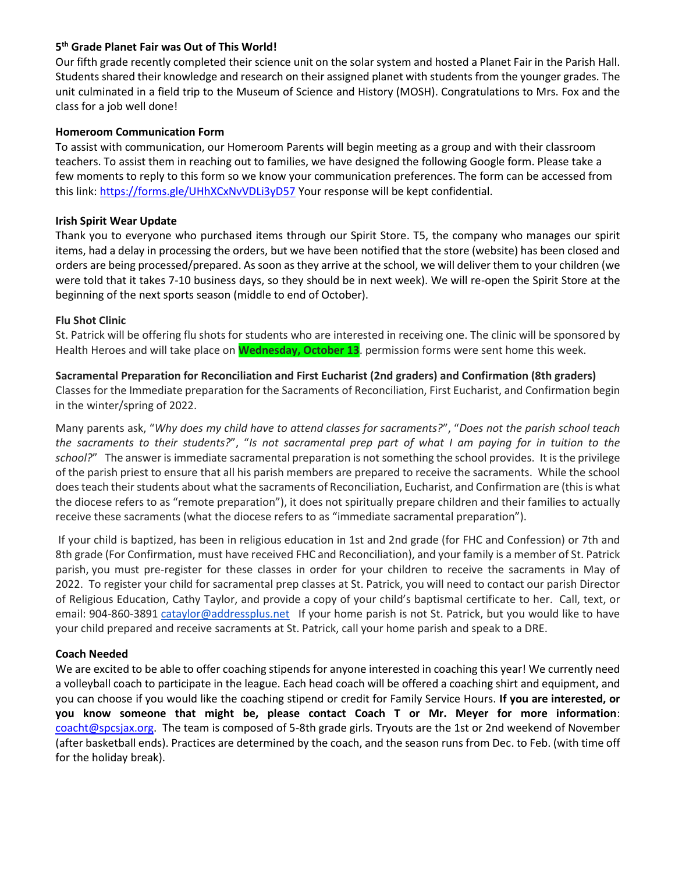#### **5 th Grade Planet Fair was Out of This World!**

Our fifth grade recently completed their science unit on the solar system and hosted a Planet Fair in the Parish Hall. Students shared their knowledge and research on their assigned planet with students from the younger grades. The unit culminated in a field trip to the Museum of Science and History (MOSH). Congratulations to Mrs. Fox and the class for a job well done!

#### **Homeroom Communication Form**

To assist with communication, our Homeroom Parents will begin meeting as a group and with their classroom teachers. To assist them in reaching out to families, we have designed the following Google form. Please take a few moments to reply to this form so we know your communication preferences. The form can be accessed from this link[: https://forms.gle/UHhXCxNvVDLi3yD57](https://forms.gle/UHhXCxNvVDLi3yD57) Your response will be kept confidential.

#### **Irish Spirit Wear Update**

Thank you to everyone who purchased items through our Spirit Store. T5, the company who manages our spirit items, had a delay in processing the orders, but we have been notified that the store (website) has been closed and orders are being processed/prepared. As soon as they arrive at the school, we will deliver them to your children (we were told that it takes 7-10 business days, so they should be in next week). We will re-open the Spirit Store at the beginning of the next sports season (middle to end of October).

#### **Flu Shot Clinic**

St. Patrick will be offering flu shots for students who are interested in receiving one. The clinic will be sponsored by Health Heroes and will take place on **Wednesday, October 13**. permission forms were sent home this week.

#### **Sacramental Preparation for Reconciliation and First Eucharist (2nd graders) and Confirmation (8th graders)**

Classes for the Immediate preparation for the Sacraments of Reconciliation, First Eucharist, and Confirmation begin in the winter/spring of 2022.

Many parents ask, "*Why does my child have to attend classes for sacraments?*", "*Does not the parish school teach the sacraments to their students?*", "*Is not sacramental prep part of what I am paying for in tuition to the school?*" The answer is immediate sacramental preparation is not something the school provides. It is the privilege of the parish priest to ensure that all his parish members are prepared to receive the sacraments. While the school does teach their students about what the sacraments of Reconciliation, Eucharist, and Confirmation are (this is what the diocese refers to as "remote preparation"), it does not spiritually prepare children and their families to actually receive these sacraments (what the diocese refers to as "immediate sacramental preparation").

If your child is baptized, has been in religious education in 1st and 2nd grade (for FHC and Confession) or 7th and 8th grade (For Confirmation, must have received FHC and Reconciliation), and your family is a member of St. Patrick parish, you must pre-register for these classes in order for your children to receive the sacraments in May of 2022. To register your child for sacramental prep classes at St. Patrick, you will need to contact our parish Director of Religious Education, Cathy Taylor, and provide a copy of your child's baptismal certificate to her. Call, text, or email: 904-860-3891 [cataylor@addressplus.net](mailto:cataylor@addressplus.net) If your home parish is not St. Patrick, but you would like to have your child prepared and receive sacraments at St. Patrick, call your home parish and speak to a DRE.

#### **Coach Needed**

We are excited to be able to offer coaching stipends for anyone interested in coaching this year! We currently need a volleyball coach to participate in the league. Each head coach will be offered a coaching shirt and equipment, and you can choose if you would like the coaching stipend or credit for Family Service Hours. **If you are interested, or you know someone that might be, please contact Coach T or Mr. Meyer for more information**: [coacht@spcsjax.org.](mailto:coacht@spcsjax.org) The team is composed of 5-8th grade girls. Tryouts are the 1st or 2nd weekend of November (after basketball ends). Practices are determined by the coach, and the season runs from Dec. to Feb. (with time off for the holiday break).